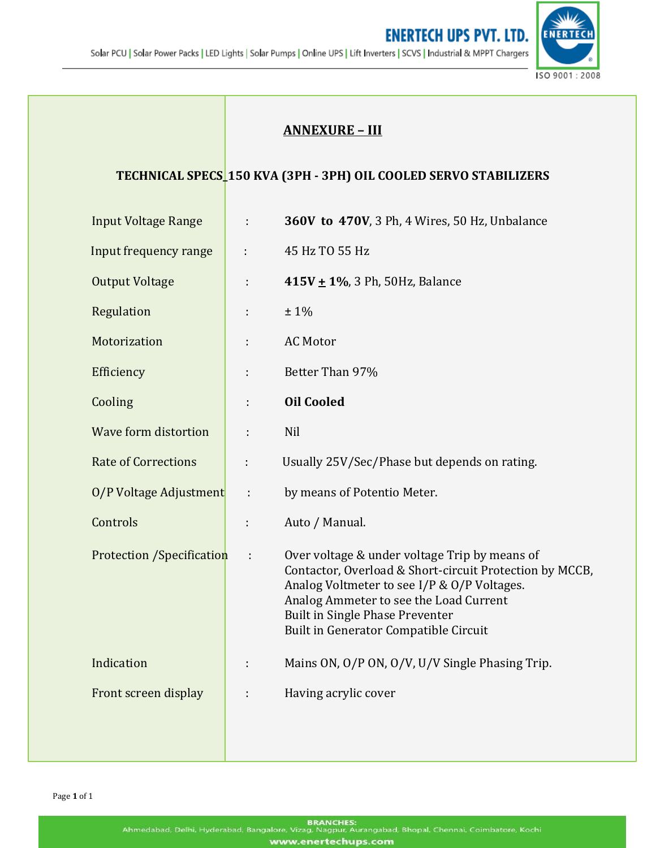

## **ANNEXURE – III**

## **TECHNICAL SPECS\_150 KVA (3PH - 3PH) OIL COOLED SERVO STABILIZERS**

| <b>Input Voltage Range</b>       | ÷  | 360V to 470V, 3 Ph, 4 Wires, 50 Hz, Unbalance                                                                                                                                                                                                                                 |
|----------------------------------|----|-------------------------------------------------------------------------------------------------------------------------------------------------------------------------------------------------------------------------------------------------------------------------------|
| Input frequency range            | ÷  | 45 Hz TO 55 Hz                                                                                                                                                                                                                                                                |
| <b>Output Voltage</b>            | ÷  | 415V ± 1%, 3 Ph, 50Hz, Balance                                                                                                                                                                                                                                                |
| Regulation                       | ÷  | $±1\%$                                                                                                                                                                                                                                                                        |
| Motorization                     | ÷  | <b>AC Motor</b>                                                                                                                                                                                                                                                               |
| Efficiency                       | ÷  | Better Than 97%                                                                                                                                                                                                                                                               |
| Cooling                          | ÷  | <b>Oil Cooled</b>                                                                                                                                                                                                                                                             |
| Wave form distortion             | ÷  | Nil                                                                                                                                                                                                                                                                           |
| <b>Rate of Corrections</b>       | ÷  | Usually 25V/Sec/Phase but depends on rating.                                                                                                                                                                                                                                  |
| O/P Voltage Adjustment           | ÷  | by means of Potentio Meter.                                                                                                                                                                                                                                                   |
| Controls                         | t. | Auto / Manual.                                                                                                                                                                                                                                                                |
| <b>Protection /Specification</b> | ÷  | Over voltage & under voltage Trip by means of<br>Contactor, Overload & Short-circuit Protection by MCCB,<br>Analog Voltmeter to see I/P & O/P Voltages.<br>Analog Ammeter to see the Load Current<br>Built in Single Phase Preventer<br>Built in Generator Compatible Circuit |
| Indication                       | ÷  | Mains ON, O/P ON, O/V, U/V Single Phasing Trip.                                                                                                                                                                                                                               |
| Front screen display             |    | Having acrylic cover                                                                                                                                                                                                                                                          |